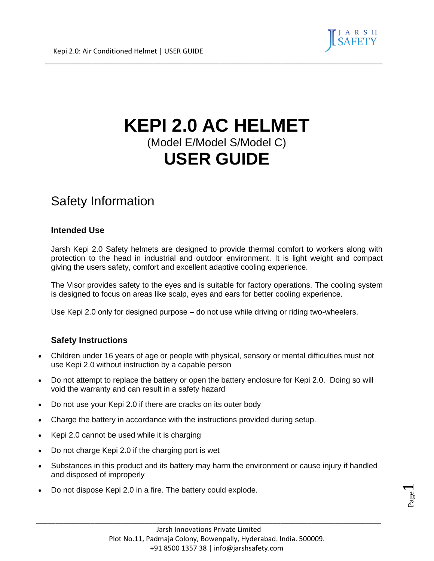

# **KEPI 2.0 AC HELMET** (Model E/Model S/Model C) **USER GUIDE**

\_\_\_\_\_\_\_\_\_\_\_\_\_\_\_\_\_\_\_\_\_\_\_\_\_\_\_\_\_\_\_\_\_\_\_\_\_\_\_\_\_\_\_\_\_\_\_\_\_\_\_\_\_\_\_\_\_\_\_\_\_\_\_\_\_\_\_\_\_\_\_\_\_\_\_\_\_\_\_\_\_\_\_\_\_\_\_

## Safety Information

#### **Intended Use**

Jarsh Kepi 2.0 Safety helmets are designed to provide thermal comfort to workers along with protection to the head in industrial and outdoor environment. It is light weight and compact giving the users safety, comfort and excellent adaptive cooling experience.

The Visor provides safety to the eyes and is suitable for factory operations. The cooling system is designed to focus on areas like scalp, eyes and ears for better cooling experience.

Use Kepi 2.0 only for designed purpose – do not use while driving or riding two-wheelers.

#### **Safety Instructions**

- Children under 16 years of age or people with physical, sensory or mental difficulties must not use Kepi 2.0 without instruction by a capable person
- Do not attempt to replace the battery or open the battery enclosure for Kepi 2.0. Doing so will void the warranty and can result in a safety hazard
- Do not use your Kepi 2.0 if there are cracks on its outer body
- Charge the battery in accordance with the instructions provided during setup.
- Kepi 2.0 cannot be used while it is charging
- Do not charge Kepi 2.0 if the charging port is wet
- Substances in this product and its battery may harm the environment or cause injury if handled and disposed of improperly

\_\_\_\_\_\_\_\_\_\_\_\_\_\_\_\_\_\_\_\_\_\_\_\_\_\_\_\_\_\_\_\_\_\_\_\_\_\_\_\_\_\_\_\_\_\_\_\_\_\_\_\_\_\_\_\_\_\_\_\_\_\_\_\_\_\_\_\_\_\_\_\_\_\_\_\_\_\_\_\_\_\_\_\_\_\_\_\_\_

• Do not dispose Kepi 2.0 in a fire. The battery could explode.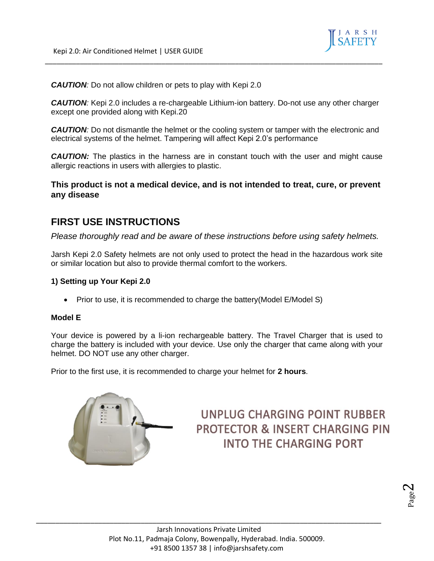

*CAUTION:* Do not allow children or pets to play with Kepi 2.0

*CAUTION:* Kepi 2.0 includes a re-chargeable Lithium-ion battery. Do-not use any other charger except one provided along with Kepi.20

\_\_\_\_\_\_\_\_\_\_\_\_\_\_\_\_\_\_\_\_\_\_\_\_\_\_\_\_\_\_\_\_\_\_\_\_\_\_\_\_\_\_\_\_\_\_\_\_\_\_\_\_\_\_\_\_\_\_\_\_\_\_\_\_\_\_\_\_\_\_\_\_\_\_\_\_\_\_\_\_\_\_\_\_\_\_\_

**CAUTION**: Do not dismantle the helmet or the cooling system or tamper with the electronic and electrical systems of the helmet. Tampering will affect Kepi 2.0's performance

**CAUTION:** The plastics in the harness are in constant touch with the user and might cause allergic reactions in users with allergies to plastic.

#### **This product is not a medical device, and is not intended to treat, cure, or prevent any disease**

### **FIRST USE INSTRUCTIONS**

*Please thoroughly read and be aware of these instructions before using safety helmets.*

Jarsh Kepi 2.0 Safety helmets are not only used to protect the head in the hazardous work site or similar location but also to provide thermal comfort to the workers.

#### **1) Setting up Your Kepi 2.0**

• Prior to use, it is recommended to charge the battery (Model E/Model S)

#### **Model E**

Your device is powered by a li-ion rechargeable battery. The Travel Charger that is used to charge the battery is included with your device. Use only the charger that came along with your helmet. DO NOT use any other charger.

Prior to the first use, it is recommended to charge your helmet for **2 hours**.



### UNPLUG CHARGING POINT RUBBER **PROTECTOR & INSERT CHARGING PIN INTO THE CHARGING PORT**

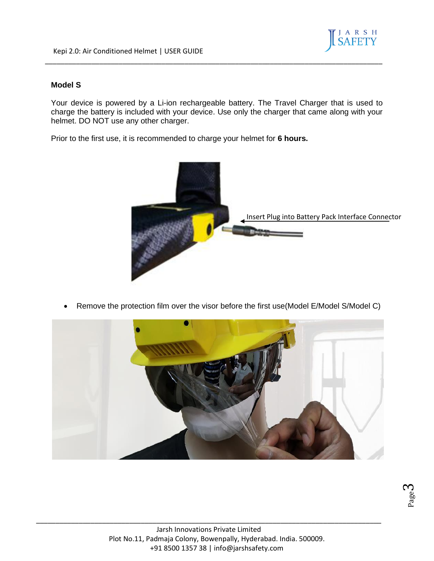

#### **Model S**

Your device is powered by a Li-ion rechargeable battery. The Travel Charger that is used to charge the battery is included with your device. Use only the charger that came along with your helmet. DO NOT use any other charger.

\_\_\_\_\_\_\_\_\_\_\_\_\_\_\_\_\_\_\_\_\_\_\_\_\_\_\_\_\_\_\_\_\_\_\_\_\_\_\_\_\_\_\_\_\_\_\_\_\_\_\_\_\_\_\_\_\_\_\_\_\_\_\_\_\_\_\_\_\_\_\_\_\_\_\_\_\_\_\_\_\_\_\_\_\_\_\_

Prior to the first use, it is recommended to charge your helmet for **6 hours.**



• Remove the protection film over the visor before the first use(Model E/Model S/Model C)

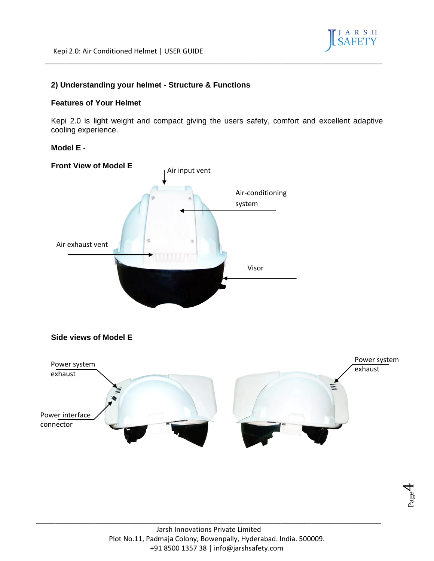

#### **2) Understanding your helmet - Structure & Functions**

#### **Features of Your Helmet**

Kepi 2.0 is light weight and compact giving the users safety, comfort and excellent adaptive cooling experience.

\_\_\_\_\_\_\_\_\_\_\_\_\_\_\_\_\_\_\_\_\_\_\_\_\_\_\_\_\_\_\_\_\_\_\_\_\_\_\_\_\_\_\_\_\_\_\_\_\_\_\_\_\_\_\_\_\_\_\_\_\_\_\_\_\_\_\_\_\_\_\_\_\_\_\_\_\_\_\_\_\_\_\_\_\_\_\_

#### **Model E -**



**Side views of Model E**



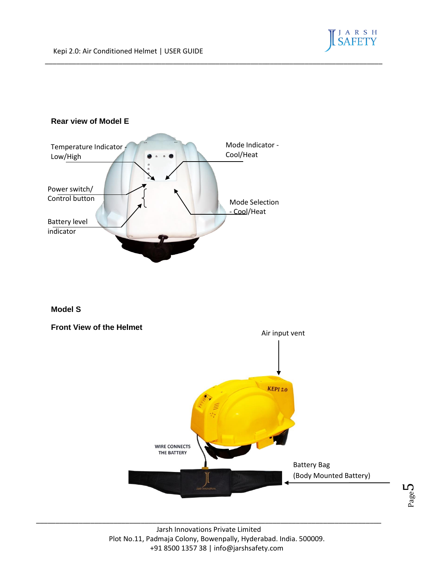

\_\_\_\_\_\_\_\_\_\_\_\_\_\_\_\_\_\_\_\_\_\_\_\_\_\_\_\_\_\_\_\_\_\_\_\_\_\_\_\_\_\_\_\_\_\_\_\_\_\_\_\_\_\_\_\_\_\_\_\_\_\_\_\_\_\_\_\_\_\_\_\_\_\_\_\_\_\_\_\_\_\_\_\_\_\_\_

#### **Model S**

#### **Front View of the Helmet**

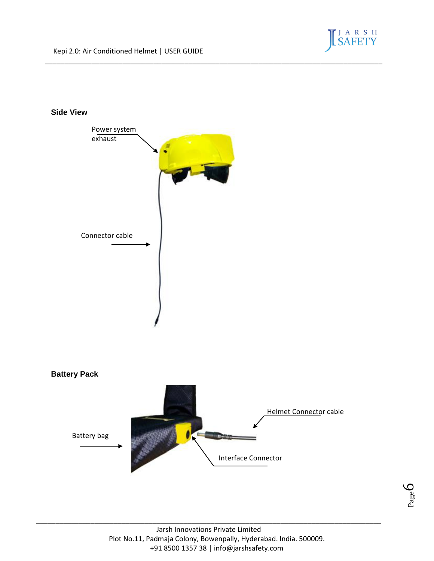#### **Side View**





\_\_\_\_\_\_\_\_\_\_\_\_\_\_\_\_\_\_\_\_\_\_\_\_\_\_\_\_\_\_\_\_\_\_\_\_\_\_\_\_\_\_\_\_\_\_\_\_\_\_\_\_\_\_\_\_\_\_\_\_\_\_\_\_\_\_\_\_\_\_\_\_\_\_\_\_\_\_\_\_\_\_\_\_\_\_\_

Page 6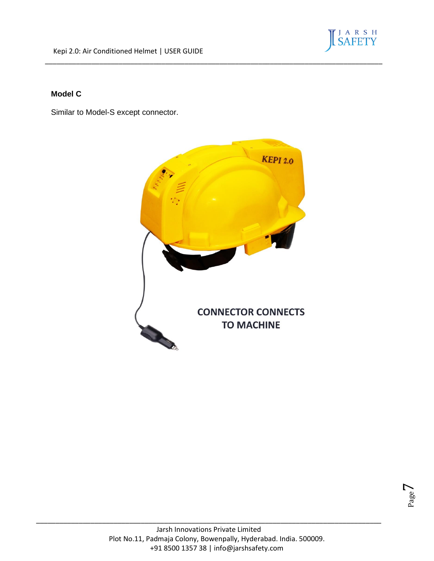

#### **Model C**

Similar to Model-S except connector.



\_\_\_\_\_\_\_\_\_\_\_\_\_\_\_\_\_\_\_\_\_\_\_\_\_\_\_\_\_\_\_\_\_\_\_\_\_\_\_\_\_\_\_\_\_\_\_\_\_\_\_\_\_\_\_\_\_\_\_\_\_\_\_\_\_\_\_\_\_\_\_\_\_\_\_\_\_\_\_\_\_\_\_\_\_\_\_

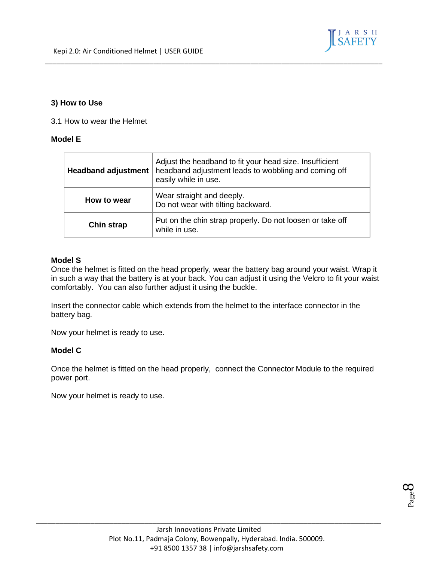

#### **3) How to Use**

3.1 How to wear the Helmet

#### **Model E**

| <b>Headband adjustment</b> | Adjust the headband to fit your head size. Insufficient<br>headband adjustment leads to wobbling and coming off<br>easily while in use. |
|----------------------------|-----------------------------------------------------------------------------------------------------------------------------------------|
| How to wear                | Wear straight and deeply.<br>Do not wear with tilting backward.                                                                         |
| <b>Chin strap</b>          | Put on the chin strap properly. Do not loosen or take off<br>while in use.                                                              |

\_\_\_\_\_\_\_\_\_\_\_\_\_\_\_\_\_\_\_\_\_\_\_\_\_\_\_\_\_\_\_\_\_\_\_\_\_\_\_\_\_\_\_\_\_\_\_\_\_\_\_\_\_\_\_\_\_\_\_\_\_\_\_\_\_\_\_\_\_\_\_\_\_\_\_\_\_\_\_\_\_\_\_\_\_\_\_

#### **Model S**

Once the helmet is fitted on the head properly, wear the battery bag around your waist. Wrap it in such a way that the battery is at your back. You can adjust it using the Velcro to fit your waist comfortably. You can also further adjust it using the buckle.

Insert the connector cable which extends from the helmet to the interface connector in the battery bag.

Now your helmet is ready to use.

#### **Model C**

Once the helmet is fitted on the head properly, connect the Connector Module to the required power port.

Now your helmet is ready to use.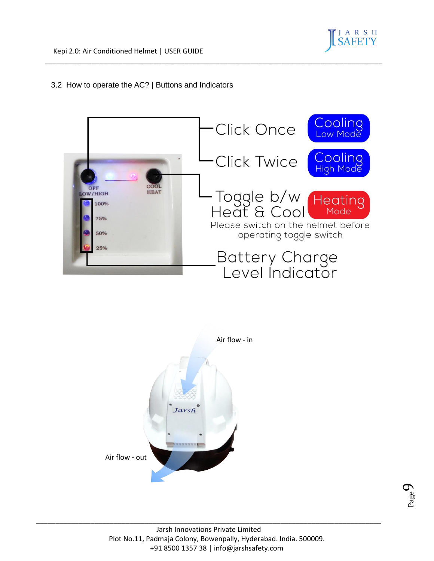#### 3.2 How to operate the AC? | Buttons and Indicators





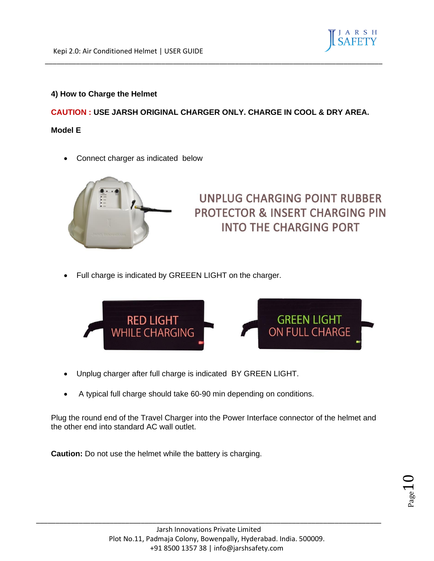

#### **4) How to Charge the Helmet**

**CAUTION : USE JARSH ORIGINAL CHARGER ONLY. CHARGE IN COOL & DRY AREA.**

\_\_\_\_\_\_\_\_\_\_\_\_\_\_\_\_\_\_\_\_\_\_\_\_\_\_\_\_\_\_\_\_\_\_\_\_\_\_\_\_\_\_\_\_\_\_\_\_\_\_\_\_\_\_\_\_\_\_\_\_\_\_\_\_\_\_\_\_\_\_\_\_\_\_\_\_\_\_\_\_\_\_\_\_\_\_\_

#### **Model E**

• Connect charger as indicated below



### UNPLUG CHARGING POINT RUBBER **PROTECTOR & INSERT CHARGING PIN INTO THE CHARGING PORT**

• Full charge is indicated by GREEEN LIGHT on the charger.



- Unplug charger after full charge is indicated BY GREEN LIGHT.
- A typical full charge should take 60-90 min depending on conditions.

Plug the round end of the Travel Charger into the Power Interface connector of the helmet and the other end into standard AC wall outlet.

**Caution:** Do not use the helmet while the battery is charging.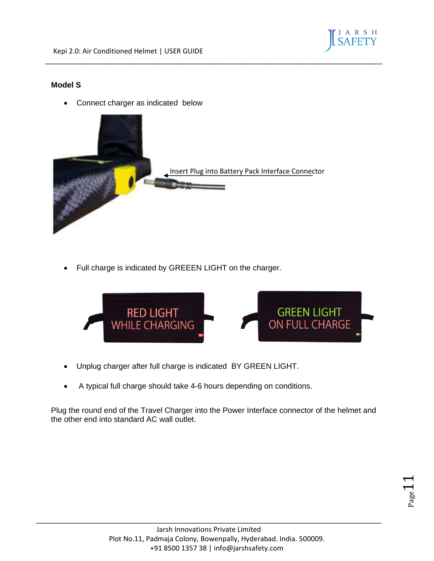

#### **Model S**

• Connect charger as indicated below



\_\_\_\_\_\_\_\_\_\_\_\_\_\_\_\_\_\_\_\_\_\_\_\_\_\_\_\_\_\_\_\_\_\_\_\_\_\_\_\_\_\_\_\_\_\_\_\_\_\_\_\_\_\_\_\_\_\_\_\_\_\_\_\_\_\_\_\_\_\_\_\_\_\_\_\_\_\_\_\_\_\_\_\_\_\_\_

• Full charge is indicated by GREEEN LIGHT on the charger.



- Unplug charger after full charge is indicated BY GREEN LIGHT.
- A typical full charge should take 4-6 hours depending on conditions.

Plug the round end of the Travel Charger into the Power Interface connector of the helmet and the other end into standard AC wall outlet.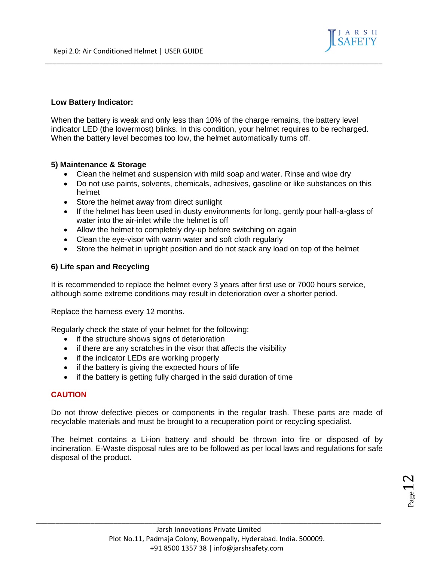

#### **Low Battery Indicator:**

When the battery is weak and only less than 10% of the charge remains, the battery level indicator LED (the lowermost) blinks. In this condition, your helmet requires to be recharged. When the battery level becomes too low, the helmet automatically turns off.

\_\_\_\_\_\_\_\_\_\_\_\_\_\_\_\_\_\_\_\_\_\_\_\_\_\_\_\_\_\_\_\_\_\_\_\_\_\_\_\_\_\_\_\_\_\_\_\_\_\_\_\_\_\_\_\_\_\_\_\_\_\_\_\_\_\_\_\_\_\_\_\_\_\_\_\_\_\_\_\_\_\_\_\_\_\_\_

#### **5) Maintenance & Storage**

- Clean the helmet and suspension with mild soap and water. Rinse and wipe dry
- Do not use paints, solvents, chemicals, adhesives, gasoline or like substances on this helmet
- Store the helmet away from direct sunlight
- If the helmet has been used in dusty environments for long, gently pour half-a-glass of water into the air-inlet while the helmet is off
- Allow the helmet to completely dry-up before switching on again
- Clean the eye-visor with warm water and soft cloth regularly
- Store the helmet in upright position and do not stack any load on top of the helmet

#### **6) Life span and Recycling**

It is recommended to replace the helmet every 3 years after first use or 7000 hours service, although some extreme conditions may result in deterioration over a shorter period.

Replace the harness every 12 months.

Regularly check the state of your helmet for the following:

- if the structure shows signs of deterioration
- if there are any scratches in the visor that affects the visibility
- if the indicator LEDs are working properly
- if the battery is giving the expected hours of life
- if the battery is getting fully charged in the said duration of time

#### **CAUTION**

Do not throw defective pieces or components in the regular trash. These parts are made of recyclable materials and must be brought to a recuperation point or recycling specialist.

The helmet contains a Li-ion battery and should be thrown into fire or disposed of by incineration. E-Waste disposal rules are to be followed as per local laws and regulations for safe disposal of the product.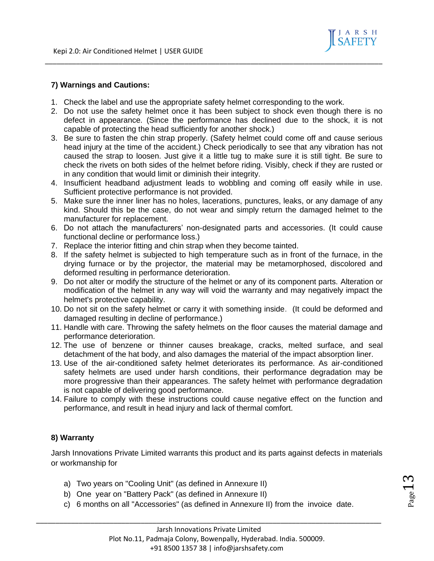

#### **7) Warnings and Cautions:**

- 1. Check the label and use the appropriate safety helmet corresponding to the work.
- 2. Do not use the safety helmet once it has been subject to shock even though there is no defect in appearance. (Since the performance has declined due to the shock, it is not capable of protecting the head sufficiently for another shock.)

\_\_\_\_\_\_\_\_\_\_\_\_\_\_\_\_\_\_\_\_\_\_\_\_\_\_\_\_\_\_\_\_\_\_\_\_\_\_\_\_\_\_\_\_\_\_\_\_\_\_\_\_\_\_\_\_\_\_\_\_\_\_\_\_\_\_\_\_\_\_\_\_\_\_\_\_\_\_\_\_\_\_\_\_\_\_\_

- 3. Be sure to fasten the chin strap properly. (Safety helmet could come off and cause serious head injury at the time of the accident.) Check periodically to see that any vibration has not caused the strap to loosen. Just give it a little tug to make sure it is still tight. Be sure to check the rivets on both sides of the helmet before riding. Visibly, check if they are rusted or in any condition that would limit or diminish their integrity.
- 4. Insufficient headband adjustment leads to wobbling and coming off easily while in use. Sufficient protective performance is not provided.
- 5. Make sure the inner liner has no holes, lacerations, punctures, leaks, or any damage of any kind. Should this be the case, do not wear and simply return the damaged helmet to the manufacturer for replacement.
- 6. Do not attach the manufacturers' non-designated parts and accessories. (It could cause functional decline or performance loss.)
- 7. Replace the interior fitting and chin strap when they become tainted.
- 8. If the safety helmet is subjected to high temperature such as in front of the furnace, in the drying furnace or by the projector, the material may be metamorphosed, discolored and deformed resulting in performance deterioration.
- 9. Do not alter or modify the structure of the helmet or any of its component parts. Alteration or modification of the helmet in any way will void the warranty and may negatively impact the helmet's protective capability.
- 10. Do not sit on the safety helmet or carry it with something inside. (It could be deformed and damaged resulting in decline of performance.)
- 11. Handle with care. Throwing the safety helmets on the floor causes the material damage and performance deterioration.
- 12. The use of benzene or thinner causes breakage, cracks, melted surface, and seal detachment of the hat body, and also damages the material of the impact absorption liner.
- 13. Use of the air-conditioned safety helmet deteriorates its performance. As air-conditioned safety helmets are used under harsh conditions, their performance degradation may be more progressive than their appearances. The safety helmet with performance degradation is not capable of delivering good performance.
- 14. Failure to comply with these instructions could cause negative effect on the function and performance, and result in head injury and lack of thermal comfort.

#### **8) Warranty**

Jarsh Innovations Private Limited warrants this product and its parts against defects in materials or workmanship for

- a) Two years on "Cooling Unit" (as defined in Annexure II)
- b) One year on "Battery Pack" (as defined in Annexure II)
- c) 6 months on all "Accessories" (as defined in Annexure II) from the invoice date.